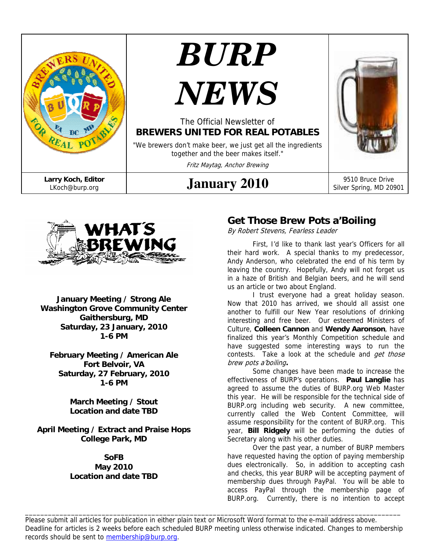



**January Meeting / Strong Ale Washington Grove Community Center Gaithersburg, MD Saturday, 23 January, 2010 1-6 PM** 

**February Meeting / American Ale Fort Belvoir, VA Saturday, 27 February, 2010 1-6 PM** 

> **March Meeting / Stout Location and date TBD**

**April Meeting / Extract and Praise Hops College Park, MD** 

#### **SoFB May 2010 Location and date TBD**

# **Get Those Brew Pots a'Boiling**

By Robert Stevens, Fearless Leader

First, I'd like to thank last year's Officers for all their hard work. A special thanks to my predecessor, Andy Anderson, who celebrated the end of his term by leaving the country. Hopefully, Andy will not forget us in a haze of British and Belgian beers, and he will send us an article or two about England.

I trust everyone had a great holiday season. Now that 2010 has arrived, we should all assist one another to fulfill our New Year resolutions of drinking interesting and free beer. Our esteemed Ministers of Culture, **Colleen Cannon** and **Wendy Aaronson**, have finalized this year's Monthly Competition schedule and have suggested some interesting ways to run the contests. Take a look at the schedule and *get those* brew pots a'boiling**.**

Some changes have been made to increase the effectiveness of BURP's operations. **Paul Langlie** has agreed to assume the duties of BURP.org Web Master this year. He will be responsible for the technical side of BURP.org including web security. A new committee, currently called the Web Content Committee, will assume responsibility for the content of BURP.org. This year, **Bill Ridgely** will be performing the duties of Secretary along with his other duties.

Over the past year, a number of BURP members have requested having the option of paying membership dues electronically. So, in addition to accepting cash and checks, this year BURP will be accepting payment of membership dues through PayPal. You will be able to access PayPal through the membership page of BURP.org. Currently, there is no intention to accept

Please submit all articles for publication in either plain text or Microsoft Word format to the e-mail address above. Deadline for articles is 2 weeks before each scheduled BURP meeting unless otherwise indicated. Changes to membership records should be sent to membership@burp.org.

\_\_\_\_\_\_\_\_\_\_\_\_\_\_\_\_\_\_\_\_\_\_\_\_\_\_\_\_\_\_\_\_\_\_\_\_\_\_\_\_\_\_\_\_\_\_\_\_\_\_\_\_\_\_\_\_\_\_\_\_\_\_\_\_\_\_\_\_\_\_\_\_\_\_\_\_\_\_\_\_\_\_\_\_\_\_\_\_\_\_\_\_\_\_\_\_\_\_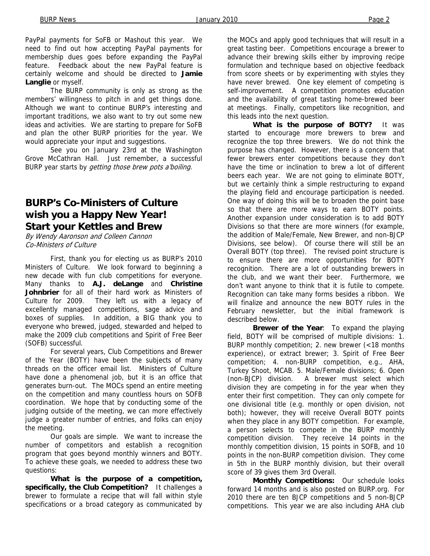PayPal payments for SoFB or Mashout this year. We need to find out how accepting PayPal payments for membership dues goes before expanding the PayPal feature. Feedback about the new PayPal feature is certainly welcome and should be directed to **Jamie Langlie** or myself.

The BURP community is only as strong as the members' willingness to pitch in and get things done. Although we want to continue BURP's interesting and important traditions, we also want to try out some new ideas and activities. We are starting to prepare for SoFB and plan the other BURP priorities for the year. We would appreciate your input and suggestions.

See you on January 23rd at the Washington Grove McCathran Hall. Just remember, a successful BURP year starts by *getting those brew pots a'boiling*.

# **BURP's Co-Ministers of Culture wish you a Happy New Year! Start your Kettles and Brew**

By Wendy Aaronson and Colleen Cannon Co-Ministers of Culture

 First, thank you for electing us as BURP's 2010 Ministers of Culture. We look forward to beginning a new decade with fun club competitions for everyone. Many thanks to **A.J. deLange** and **Christine Johnbrier** for all of their hard work as Ministers of Culture for 2009. They left us with a legacy of excellently managed competitions, sage advice and boxes of supplies. In addition, a BIG thank you to everyone who brewed, judged, stewarded and helped to make the 2009 club competitions and Spirit of Free Beer (SOFB) successful.

 For several years, Club Competitions and Brewer of the Year (BOTY) have been the subjects of many threads on the officer email list. Ministers of Culture have done a phenomenal job, but it is an office that generates burn-out. The MOCs spend an entire meeting on the competition and many countless hours on SOFB coordination. We hope that by conducting some of the judging outside of the meeting, we can more effectively judge a greater number of entries, and folks can enjoy the meeting.

 Our goals are simple. We want to increase the number of competitors and establish a recognition program that goes beyond monthly winners and BOTY. To achieve these goals, we needed to address these two questions:

 **What is the purpose of a competition, specifically, the Club Competition?** It challenges a brewer to formulate a recipe that will fall within style specifications or a broad category as communicated by

the MOCs and apply good techniques that will result in a great tasting beer. Competitions encourage a brewer to advance their brewing skills either by improving recipe formulation and technique based on objective feedback from score sheets or by experimenting with styles they have never brewed. One key element of competing is self-improvement. A competition promotes education and the availability of great tasting home-brewed beer at meetings. Finally, competitors like recognition, and this leads into the next question.

 **What is the purpose of BOTY?** It was started to encourage more brewers to brew and recognize the top three brewers. We do not think the purpose has changed. However, there is a concern that fewer brewers enter competitions because they don't have the time or inclination to brew a lot of different beers each year. We are not going to eliminate BOTY, but we certainly think a simple restructuring to expand the playing field and encourage participation is needed. One way of doing this will be to broaden the point base so that there are more ways to earn BOTY points. Another expansion under consideration is to add BOTY Divisions so that there are more winners (for example, the addition of Male/Female, New Brewer, and non-BJCP Divisions, see below). Of course there will still be an Overall BOTY (top three). The revised point structure is to ensure there are more opportunities for BOTY recognition. There are a lot of outstanding brewers in the club, and we want their beer. Furthermore, we don't want anyone to think that it is futile to compete. Recognition can take many forms besides a ribbon. We will finalize and announce the new BOTY rules in the February newsletter, but the initial framework is described below.

 **Brewer of the Year**: To expand the playing field, BOTY will be comprised of multiple divisions: 1. BURP monthly competition; 2. new brewer (<18 months experience), or extract brewer; 3. Spirit of Free Beer competition; 4. non-BURP competition, e.g., AHA, Turkey Shoot, MCAB. 5. Male/Female divisions; 6. Open (non-BJCP) division. A brewer must select which division they are competing in for the year when they enter their first competition. They can only compete for one divisional title (e.g. monthly or open division, not both); however, they will receive Overall BOTY points when they place in any BOTY competition. For example, a person selects to compete in the BURP monthly competition division. They receive 14 points in the monthly competition division, 15 points in SOFB, and 10 points in the non-BURP competition division. They come in 5th in the BURP monthly division, but their overall score of 39 gives them 3rd Overall.

 **Monthly Competitions:** Our schedule looks forward 14 months and is also posted on BURP.org. For 2010 there are ten BJCP competitions and 5 non-BJCP competitions. This year we are also including AHA club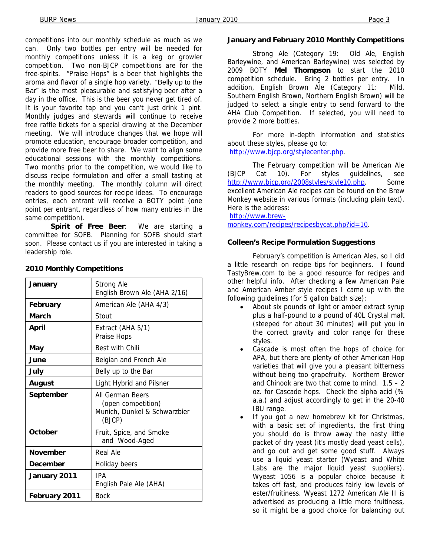competitions into our monthly schedule as much as we can. Only two bottles per entry will be needed for monthly competitions unless it is a keg or growler competition. Two non-BJCP competitions are for the free-spirits. "Praise Hops" is a beer that highlights the aroma and flavor of a single hop variety. "Belly up to the Bar" is the most pleasurable and satisfying beer after a day in the office. This is the beer you never get tired of. It is your favorite tap and you can't just drink 1 pint. Monthly judges and stewards will continue to receive free raffle tickets for a special drawing at the December meeting. We will introduce changes that we hope will promote education, encourage broader competition, and provide more free beer to share. We want to align some educational sessions with the monthly competitions. Two months prior to the competition, we would like to discuss recipe formulation and offer a small tasting at the monthly meeting. The monthly column will direct readers to good sources for recipe ideas. To encourage entries, each entrant will receive a BOTY point (one point per entrant, regardless of how many entries in the same competition).

 **Spirit of Free Beer**: We are starting a committee for SOFB. Planning for SOFB should start soon. Please contact us if you are interested in taking a leadership role.

| January         | Strong Ale<br>English Brown Ale (AHA 2/16)                                       |  |
|-----------------|----------------------------------------------------------------------------------|--|
| February        | American Ale (AHA 4/3)                                                           |  |
| March           | Stout                                                                            |  |
| April           | Extract (AHA 5/1)<br>Praise Hops                                                 |  |
| May             | <b>Best with Chili</b>                                                           |  |
| June            | Belgian and French Ale                                                           |  |
| July            | Belly up to the Bar                                                              |  |
| August          | Light Hybrid and Pilsner                                                         |  |
| September       | All German Beers<br>(open competition)<br>Munich, Dunkel & Schwarzbier<br>(BJCP) |  |
| October         | Fruit, Spice, and Smoke<br>and Wood-Aged                                         |  |
| <b>November</b> | Real Ale                                                                         |  |
| December        | Holiday beers                                                                    |  |
| January 2011    | IPA<br>English Pale Ale (AHA)                                                    |  |
| February 2011   | <b>Bock</b>                                                                      |  |

#### **2010 Monthly Competitions**

### **January and February 2010 Monthly Competitions**

 Strong Ale (Category 19: Old Ale, English Barleywine, and American Barleywine) was selected by 2009 BOTY **Mel Thompson** to start the 2010 competition schedule. Bring 2 bottles per entry. In addition, English Brown Ale (Category 11: Mild, Southern English Brown, Northern English Brown) will be judged to select a single entry to send forward to the AHA Club Competition. If selected, you will need to provide 2 more bottles.

 For more in-depth information and statistics about these styles, please go to:

http://www.bjcp.org/stylecenter.php.

 The February competition will be American Ale (BJCP Cat 10). For styles guidelines, see http://www.bjcp.org/2008styles/style10.php. Some excellent American Ale recipes can be found on the Brew Monkey website in various formats (including plain text). Here is the address:

#### http://www.brew-

monkey.com/recipes/recipesbycat.php?id=10.

#### **Colleen's Recipe Formulation Suggestions**

 February's competition is American Ales, so I did a little research on recipe tips for beginners. I found TastyBrew.com to be a good resource for recipes and other helpful info. After checking a few American Pale and American Amber style recipes I came up with the following guidelines (for 5 gallon batch size):

- About six pounds of light or amber extract syrup plus a half-pound to a pound of 40L Crystal malt (steeped for about 30 minutes) will put you in the correct gravity and color range for these styles.
- Cascade is most often the hops of choice for APA, but there are plenty of other American Hop varieties that will give you a pleasant bitterness without being too grapefruity. Northern Brewer and Chinook are two that come to mind.  $1.5 - 2$ oz. for Cascade hops. Check the alpha acid (% a.a.) and adjust accordingly to get in the 20-40 IBU range.
- If you got a new homebrew kit for Christmas, with a basic set of ingredients, the first thing you should do is throw away the nasty little packet of dry yeast (it's mostly dead yeast cells), and go out and get some good stuff. Always use a liquid yeast starter (Wyeast and White Labs are the major liquid yeast suppliers). Wyeast 1056 is a popular choice because it takes off fast, and produces fairly low levels of ester/fruitiness. Wyeast 1272 American Ale II is advertised as producing a little more fruitiness, so it might be a good choice for balancing out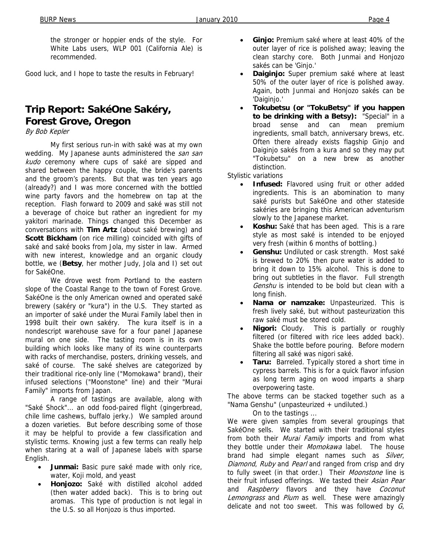the stronger or hoppier ends of the style. For White Labs users, WLP 001 (California Ale) is recommended.

Good luck, and I hope to taste the results in February!

# **Trip Report: SakéOne Sakéry, Forest Grove, Oregon**

By Bob Kepler

 My first serious run-in with saké was at my own wedding. My Japanese aunts administered the san san kudo ceremony where cups of saké are sipped and shared between the happy couple, the bride's parents and the groom's parents. But that was ten years ago (already?) and I was more concerned with the bottled wine party favors and the homebrew on tap at the reception. Flash forward to 2009 and saké was still not a beverage of choice but rather an ingredient for my yakitori marinade. Things changed this December as conversations with **Tim Artz** (about saké brewing) and Scott Bickham (on rice milling) coincided with gifts of saké and saké books from Jola, my sister in law. Armed with new interest, knowledge and an organic cloudy bottle, we (**Betsy**, her mother Judy, Jola and I) set out for SakéOne.

 We drove west from Portland to the eastern slope of the Coastal Range to the town of Forest Grove. SakéOne is the only American owned and operated saké brewery (sakéry or "kura") in the U.S. They started as an importer of saké under the Murai Family label then in 1998 built their own sakéry. The kura itself is in a nondescript warehouse save for a four panel Japanese mural on one side. The tasting room is in its own building which looks like many of its wine counterparts with racks of merchandise, posters, drinking vessels, and saké of course. The saké shelves are categorized by their traditional rice-only line ("Momokawa" brand), their infused selections ("Moonstone" line) and their "Murai Family" imports from Japan.

 A range of tastings are available, along with "Saké Shock"... an odd food-paired flight (gingerbread, chile lime cashews, buffalo jerky.) We sampled around a dozen varieties. But before describing some of those it may be helpful to provide a few classification and stylistic terms. Knowing just a few terms can really help when staring at a wall of Japanese labels with sparse English.

- **Junmai:** Basic pure saké made with only rice, water, Koji mold, and yeast
- **Honjozo:** Saké with distilled alcohol added (then water added back). This is to bring out aromas. This type of production is not legal in the U.S. so all Honjozo is thus imported.
- **Ginjo:** Premium saké where at least 40% of the outer layer of rice is polished away; leaving the clean starchy core. Both Junmai and Honjozo sakés can be 'Ginjo.'
- **Daiginjo:** Super premium saké where at least 50% of the outer layer of rice is polished away. Again, both Junmai and Honjozo sakés can be 'Daiginjo.'
- **Tokubetsu (or "TokuBetsy" if you happen to be drinking with a Betsy):** "Special" in a broad sense and can mean premium ingredients, small batch, anniversary brews, etc. Often there already exists flagship Ginjo and Daiginjo sakés from a kura and so they may put "Tokubetsu" on a new brew as another distinction.

Stylistic variations

- **Infused:** Flavored using fruit or other added ingredients. This is an abomination to many saké purists but SakéOne and other stateside sakéries are bringing this American adventurism slowly to the Japanese market.
- Koshu: Saké that has been aged. This is a rare style as most saké is intended to be enjoyed very fresh (within 6 months of bottling.)
- **Genshu:** Undiluted or cask strength. Most saké is brewed to 20% then pure water is added to bring it down to 15% alcohol. This is done to bring out subtleties in the flavor. Full strength Genshu is intended to be bold but clean with a long finish.
- **Nama or namzake:** Unpasteurized. This is fresh lively saké, but without pasteurization this raw saké must be stored cold.
- **Nigori:** Cloudy. This is partially or roughly filtered (or filtered with rice lees added back). Shake the bottle before pouring. Before modern filtering all saké was nigori saké.
- **Taru:** Barreled. Typically stored a short time in cypress barrels. This is for a quick flavor infusion as long term aging on wood imparts a sharp overpowering taste.

The above terms can be stacked together such as a "Nama Genshu" (unpasteurized + undiluted.)

On to the tastings ...

We were given samples from several groupings that SakéOne sells. We started with their traditional styles from both their Murai Family imports and from what they bottle under their Momokawa label. The house brand had simple elegant names such as Silver, Diamond, Ruby and Pearl and ranged from crisp and dry to fully sweet (in that order.) Their Moonstone line is their fruit infused offerings. We tasted their Asian Pear and Raspberry flavors and they have Coconut Lemongrass and Plum as well. These were amazingly delicate and not too sweet. This was followed by  $G_i$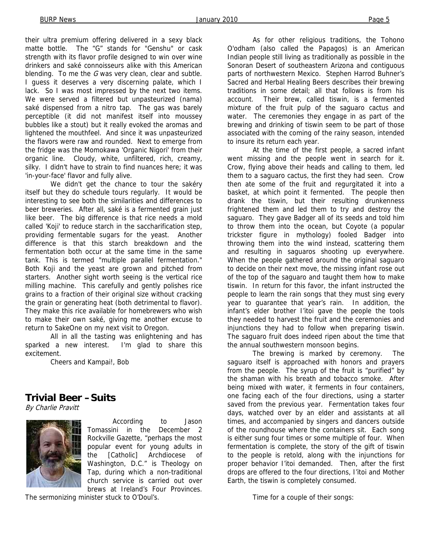their ultra premium offering delivered in a sexy black matte bottle. The "G" stands for "Genshu" or cask strength with its flavor profile designed to win over wine drinkers and saké connoisseurs alike with this American blending. To me the  $G$  was very clean, clear and subtle. I guess it deserves a very discerning palate, which I lack. So I was most impressed by the next two items. We were served a filtered but unpasteurized (nama) saké dispensed from a nitro tap. The gas was barely perceptible (it did not manifest itself into moussey bubbles like a stout) but it really evoked the aromas and lightened the mouthfeel. And since it was unpasteurized the flavors were raw and rounded. Next to emerge from the fridge was the Momokawa 'Organic Nigori' from their organic line. Cloudy, white, unfiltered, rich, creamy, silky. I didn't have to strain to find nuances here; it was 'in-your-face' flavor and fully alive.

 We didn't get the chance to tour the sakéry itself but they do schedule tours regularly. It would be interesting to see both the similarities and differences to beer breweries. After all, saké is a fermented grain just like beer. The big difference is that rice needs a mold called 'Koji' to reduce starch in the saccharification step, providing fermentable sugars for the yeast. Another difference is that this starch breakdown and the fermentation both occur at the same time in the same tank. This is termed "multiple parallel fermentation." Both Koji and the yeast are grown and pitched from starters. Another sight worth seeing is the vertical rice milling machine. This carefully and gently polishes rice grains to a fraction of their original size without cracking the grain or generating heat (both detrimental to flavor). They make this rice available for homebrewers who wish to make their own saké, giving me another excuse to return to SakeOne on my next visit to Oregon.

 All in all the tasting was enlightening and has sparked a new interest. I'm glad to share this excitement.

Cheers and Kampai!, Bob

### **Trivial Beer –Suits**

By Charlie Pravitt



According to Jason Tomassini in the December 2 Rockville Gazette, "perhaps the most popular event for young adults in the [Catholic] Archdiocese of Washington, D.C." is Theology on Tap, during which a non-traditional church service is carried out over brews at Ireland's Four Provinces.

The sermonizing minister stuck to O'Doul's.

As for other religious traditions, the Tohono O'odham (also called the Papagos) is an American Indian people still living as traditionally as possible in the Sonoran Desert of southeastern Arizona and contiguous parts of northwestern Mexico. Stephen Harrod Buhner's Sacred and Herbal Healing Beers describes their brewing traditions in some detail; all that follows is from his account. Their brew, called tiswin, is a fermented mixture of the fruit pulp of the saguaro cactus and water. The ceremonies they engage in as part of the brewing and drinking of tiswin seem to be part of those associated with the coming of the rainy season, intended to insure its return each year.

At the time of the first people, a sacred infant went missing and the people went in search for it. Crow, flying above their heads and calling to them, led them to a saguaro cactus, the first they had seen. Crow then ate some of the fruit and regurgitated it into a basket, at which point it fermented. The people then drank the tiswin, but their resulting drunkenness frightened them and led them to try and destroy the saguaro. They gave Badger all of its seeds and told him to throw them into the ocean, but Coyote (a popular trickster figure in mythology) fooled Badger into throwing them into the wind instead, scattering them and resulting in saguaros shooting up everywhere. When the people gathered around the original saguaro to decide on their next move, the missing infant rose out of the top of the saguaro and taught them how to make tiswin. In return for this favor, the infant instructed the people to learn the rain songs that they must sing every year to guarantee that year's rain. In addition, the infant's elder brother I'itoi gave the people the tools they needed to harvest the fruit and the ceremonies and injunctions they had to follow when preparing tiswin. The saguaro fruit does indeed ripen about the time that the annual southwestern monsoon begins.

The brewing is marked by ceremony. The saguaro itself is approached with honors and prayers from the people. The syrup of the fruit is "purified" by the shaman with his breath and tobacco smoke. After being mixed with water, it ferments in four containers, one facing each of the four directions, using a starter saved from the previous year. Fermentation takes four days, watched over by an elder and assistants at all times, and accompanied by singers and dancers outside of the roundhouse where the containers sit. Each song is either sung four times or some multiple of four. When fermentation is complete, the story of the gift of tiswin to the people is retold, along with the injunctions for proper behavior I'itoi demanded. Then, after the first drops are offered to the four directions, I'itoi and Mother Earth, the tiswin is completely consumed.

Time for a couple of their songs: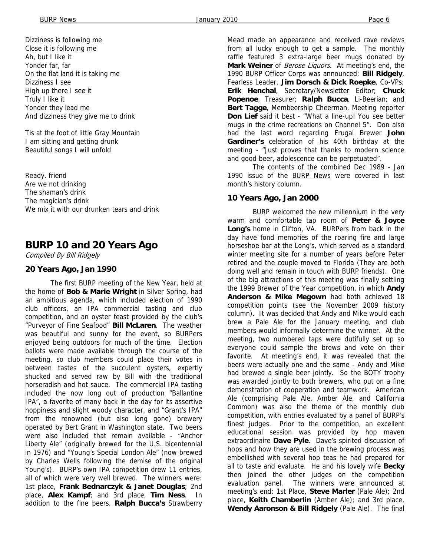Dizziness is following me Close it is following me Ah, but I like it Yonder far, far On the flat land it is taking me Dizziness I see High up there I see it Truly I like it Yonder they lead me And dizziness they give me to drink

Tis at the foot of little Gray Mountain I am sitting and getting drunk Beautiful songs I will unfold

Ready, friend Are we not drinking The shaman's drink The magician's drink We mix it with our drunken tears and drink

## **BURP 10 and 20 Years Ago**

Compiled By Bill Ridgely

#### **20 Years Ago, Jan 1990**

The first BURP meeting of the New Year, held at the home of **Bob & Marie Wright** in Silver Spring, had an ambitious agenda, which included election of 1990 club officers, an IPA commercial tasting and club competition, and an oyster feast provided by the club's "Purveyor of Fine Seafood" **Bill McLaren**. The weather was beautiful and sunny for the event, so BURPers enjoyed being outdoors for much of the time. Election ballots were made available through the course of the meeting, so club members could place their votes in between tastes of the succulent oysters, expertly shucked and served raw by Bill with the traditional horseradish and hot sauce. The commercial IPA tasting included the now long out of production "Ballantine IPA", a favorite of many back in the day for its assertive hoppiness and slight woody character, and "Grant's IPA" from the renowned (but also long gone) brewery operated by Bert Grant in Washington state. Two beers were also included that remain available - "Anchor Liberty Ale" (originally brewed for the U.S. bicentennial in 1976) and "Young's Special London Ale" (now brewed by Charles Wells following the demise of the original Young's). BURP's own IPA competition drew 11 entries, all of which were very well brewed. The winners were: 1st place, **Frank Bednarczyk & Janet Douglas**; 2nd place, **Alex Kampf**; and 3rd place, **Tim Ness**. In addition to the fine beers, **Ralph Bucca's** Strawberry

Mead made an appearance and received rave reviews from all lucky enough to get a sample. The monthly raffle featured 3 extra-large beer mugs donated by **Mark Weiner** of Berose Liquors. At meeting's end, the 1990 BURP Officer Corps was announced: **Bill Ridgely**, Fearless Leader, **Jim Dorsch & Dick Roepke**, Co-VPs; **Erik Henchal**, Secretary/Newsletter Editor; **Chuck Popenoe**, Treasurer; **Ralph Bucca**, Li-Beerian; and **Bert Tagge**, Membeership Cheerman. Meeting reporter **Don Lief** said it best - "What a line-up! You see better mugs in the crime recreations on Channel 5". Don also had the last word regarding Frugal Brewer **John Gardiner's** celebration of his 40th birthday at the meeting - "Just proves that thanks to modern science and good beer, adolescence can be perpetuated".

 The contents of the combined Dec 1989 - Jan 1990 issue of the BURP News were covered in last month's history column.

#### **10 Years Ago, Jan 2000**

BURP welcomed the new millennium in the very warm and comfortable tap room of **Peter & Joyce Long's** home in Clifton, VA. BURPers from back in the day have fond memories of the roaring fire and large horseshoe bar at the Long's, which served as a standard winter meeting site for a number of years before Peter retired and the couple moved to Florida (They are both doing well and remain in touch with BURP friends). One of the big attractions of this meeting was finally settling the 1999 Brewer of the Year competition, in which **Andy Anderson & Mike Megown** had both achieved 18 competition points (see the November 2009 history column). It was decided that Andy and Mike would each brew a Pale Ale for the January meeting, and club members would informally determine the winner. At the meeting, two numbered taps were dutifully set up so everyone could sample the brews and vote on their favorite. At meeting's end, it was revealed that the beers were actually one and the same - Andy and Mike had brewed a single beer jointly. So the BOTY trophy was awarded jointly to both brewers, who put on a fine demonstration of cooperation and teamwork. American Ale (comprising Pale Ale, Amber Ale, and California Common) was also the theme of the monthly club competition, with entries evaluated by a panel of BURP's finest judges. Prior to the competition, an excellent educational session was provided by hop maven extraordinaire **Dave Pyle**. Dave's spirited discussion of hops and how they are used in the brewing process was embellished with several hop teas he had prepared for all to taste and evaluate. He and his lovely wife **Becky**  then joined the other judges on the competition evaluation panel. The winners were announced at meeting's end: 1st Place, **Steve Marler** (Pale Ale); 2nd place, **Keith Chamberlin** (Amber Ale); and 3rd place, **Wendy Aaronson & Bill Ridgely** (Pale Ale). The final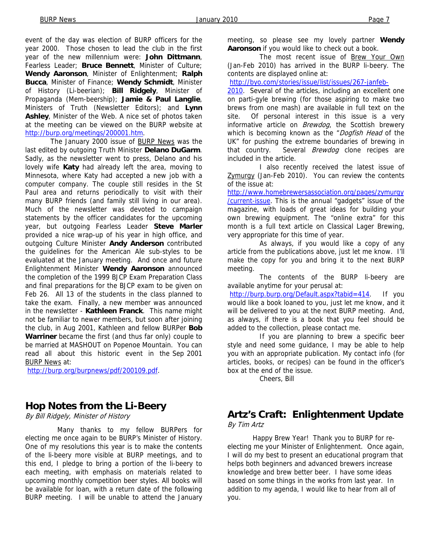event of the day was election of BURP officers for the year 2000. Those chosen to lead the club in the first year of the new millennium were: **John Dittmann**, Fearless Leader; **Bruce Bennett**, Minister of Culture; **Wendy Aaronson**, Minister of Enlightenment; **Ralph Bucca**, Minister of Finance; **Wendy Schmidt**, Minister of History (Li-beerian); **Bill Ridgely**, Minister of Propaganda (Mem-beership); **Jamie & Paul Langlie**, Ministers of Truth (Newsletter Editors); and **Lynn Ashley**, Minister of the Web. A nice set of photos taken at the meeting can be viewed on the BURP website at http://burp.org/meetings/200001.htm.

The January 2000 issue of BURP News was the last edited by outgoing Truth Minister **Delano DuGarm**. Sadly, as the newsletter went to press, Delano and his lovely wife **Katy** had already left the area, moving to Minnesota, where Katy had accepted a new job with a computer company. The couple still resides in the St Paul area and returns periodically to visit with their many BURP friends (and family still living in our area). Much of the newsletter was devoted to campaign statements by the officer candidates for the upcoming year, but outgoing Fearless Leader **Steve Marler**  provided a nice wrap-up of his year in high office, and outgoing Culture Minister **Andy Anderson** contributed the guidelines for the American Ale sub-styles to be evaluated at the January meeting. And once and future Enlightenment Minister **Wendy Aaronson** announced the completion of the 1999 BJCP Exam Preparation Class and final preparations for the BJCP exam to be given on Feb 26. All 13 of the students in the class planned to take the exam. Finally, a new member was announced in the newsletter - **Kathleen Franck**. This name might not be familiar to newer members, but soon after joining the club, in Aug 2001, Kathleen and fellow BURPer **Bob Warriner** became the first (and thus far only) couple to be married at MASHOUT on Popenoe Mountain. You can read all about this historic event in the Sep 2001 BURP News at:

http://burp.org/burpnews/pdf/200109.pdf.

## **Hop Notes from the Li-Beery**

By Bill Ridgely, Minister of History

 Many thanks to my fellow BURPers for electing me once again to be BURP's Minister of History. One of my resolutions this year is to make the contents of the li-beery more visible at BURP meetings, and to this end, I pledge to bring a portion of the li-beery to each meeting, with emphasis on materials related to upcoming monthly competition beer styles. All books will be available for loan, with a return date of the following BURP meeting. I will be unable to attend the January

meeting, so please see my lovely partner **Wendy Aaronson** if you would like to check out a book.

 The most recent issue of Brew Your Own (Jan-Feb 2010) has arrived in the BURP li-beery. The contents are displayed online at:

http://byo.com/stories/issue/list/issues/267-janfeb-

2010. Several of the articles, including an excellent one on parti-gyle brewing (for those aspiring to make two brews from one mash) are available in full text on the site. Of personal interest in this issue is a very informative article on **Brewdog**, the Scottish brewery which is becoming known as the "Dogfish Head of the UK" for pushing the extreme boundaries of brewing in that country. Several *Brewdog* clone recipes are included in the article.

 I also recently received the latest issue of Zymurgy (Jan-Feb 2010). You can review the contents of the issue at:

http://www.homebrewersassociation.org/pages/zymurgy /current-issue. This is the annual "gadgets" issue of the magazine, with loads of great ideas for building your own brewing equipment. The "online extra" for this month is a full text article on Classical Lager Brewing, very appropriate for this time of year.

 As always, if you would like a copy of any article from the publications above, just let me know. I'll make the copy for you and bring it to the next BURP meeting.

 The contents of the BURP li-beery are available anytime for your perusal at: http://burp.burp.org/Default.aspx?tabid=414. If you would like a book loaned to you, just let me know, and it will be delivered to you at the next BURP meeting. And, as always, if there is a book that you feel should be added to the collection, please contact me.

 If you are planning to brew a specific beer style and need some guidance, I may be able to help you with an appropriate publication. My contact info (for articles, books, or recipes) can be found in the officer's box at the end of the issue.

Cheers, Bill

### **Artz's Craft: Enlightenment Update**  By Tim Artz

 Happy Brew Year! Thank you to BURP for reelecting me your Minister of Enlightenment. Once again, I will do my best to present an educational program that helps both beginners and advanced brewers increase knowledge and brew better beer. I have some ideas based on some things in the works from last year. In addition to my agenda, I would like to hear from all of you.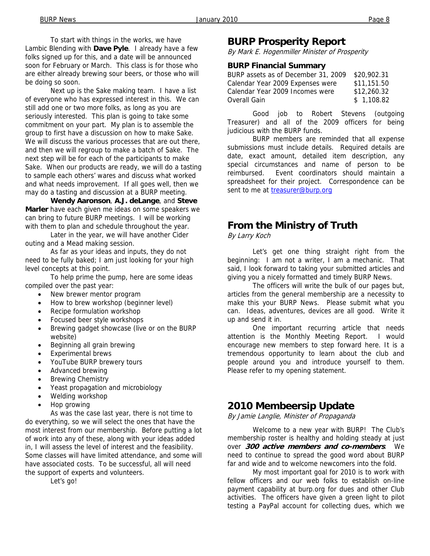To start with things in the works, we have Lambic Blending with **Dave Pyle**. I already have a few folks signed up for this, and a date will be announced soon for February or March. This class is for those who are either already brewing sour beers, or those who will be doing so soon.

 Next up is the Sake making team. I have a list of everyone who has expressed interest in this. We can still add one or two more folks, as long as you are seriously interested. This plan is going to take some commitment on your part. My plan is to assemble the group to first have a discussion on how to make Sake. We will discuss the various processes that are out there, and then we will regroup to make a batch of Sake. The next step will be for each of the participants to make Sake. When our products are ready, we will do a tasting to sample each others' wares and discuss what worked and what needs improvement. If all goes well, then we may do a tasting and discussion at a BURP meeting.

**Wendy Aaronson**, **A.J. deLange**, and **Steve Marler** have each given me ideas on some speakers we can bring to future BURP meetings. I will be working with them to plan and schedule throughout the year.

 Later in the year, we will have another Cider outing and a Mead making session.

 As far as your ideas and inputs, they do not need to be fully baked; I am just looking for your high level concepts at this point.

 To help prime the pump, here are some ideas compiled over the past year:

- New brewer mentor program
- How to brew workshop (beginner level)
- Recipe formulation workshop
- Focused beer style workshops
- Brewing gadget showcase (live or on the BURP website)
- Beginning all grain brewing
- Experimental brews
- YouTube BURP brewery tours
- Advanced brewing
- **Brewing Chemistry**
- Yeast propagation and microbiology
- Welding workshop
- Hop growing

 As was the case last year, there is not time to do everything, so we will select the ones that have the most interest from our membership. Before putting a lot of work into any of these, along with your ideas added in, I will assess the level of interest and the feasibility. Some classes will have limited attendance, and some will have associated costs. To be successful, all will need the support of experts and volunteers.

Let's go!

### **BURP Prosperity Report**

By Mark E. Hogenmiller Minister of Prosperity

#### **BURP Financial Summary**

| BURP assets as of December 31, 2009 | \$20,902.31 |
|-------------------------------------|-------------|
| Calendar Year 2009 Expenses were    | \$11,151.50 |
| Calendar Year 2009 Incomes were     | \$12,260.32 |
| Overall Gain                        | \$1,108.82  |

Good job to Robert Stevens (outgoing Treasurer) and all of the 2009 officers for being judicious with the BURP funds.

BURP members are reminded that all expense submissions must include details. Required details are date, exact amount, detailed item description, any special circumstances and name of person to be reimbursed. Event coordinators should maintain a spreadsheet for their project. Correspondence can be sent to me at treasurer@burp.org

## **From the Ministry of Truth**

By Larry Koch

 Let's get one thing straight right from the beginning: I am not a writer, I am a mechanic. That said, I look forward to taking your submitted articles and giving you a nicely formatted and timely BURP News.

 The officers will write the bulk of our pages but, articles from the general membership are a necessity to make this your BURP News. Please submit what you can. Ideas, adventures, devices are all good. Write it up and send it in.

 One important recurring article that needs attention is the Monthly Meeting Report. I would encourage new members to step forward here. It is a tremendous opportunity to learn about the club and people around you and introduce yourself to them. Please refer to my opening statement.

## **2010 Membeersip Update**

By Jamie Langlie, Minister of Propaganda

 Welcome to a new year with BURP! The Club's membership roster is healthy and holding steady at just over **300 active members and co-members**. We need to continue to spread the good word about BURP far and wide and to welcome newcomers into the fold.

 My most important goal for 2010 is to work with fellow officers and our web folks to establish on-line payment capability at burp.org for dues and other Club activities. The officers have given a green light to pilot testing a PayPal account for collecting dues, which we